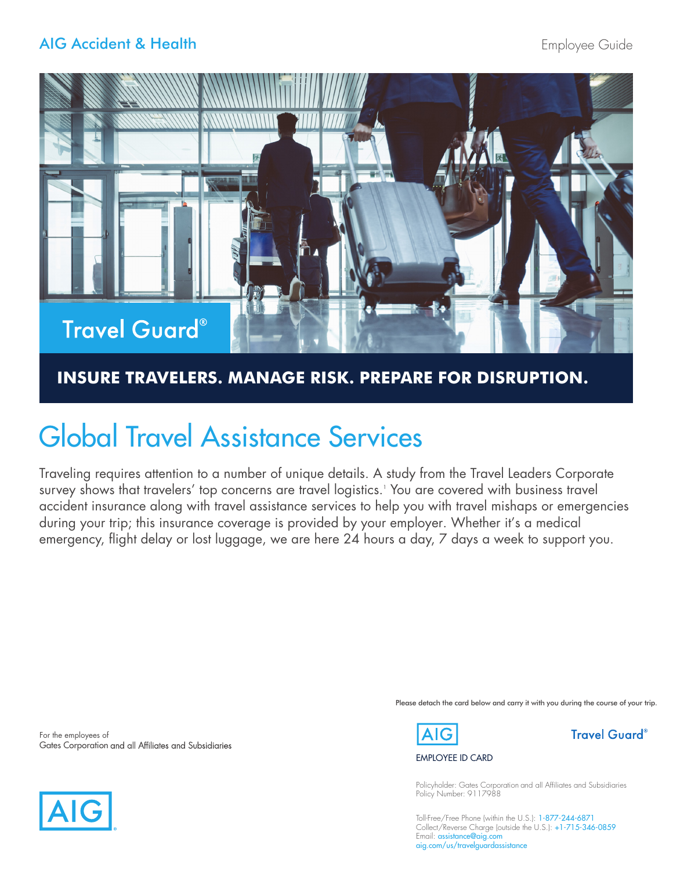## AIG Accident & Health



## **INSURE TRAVELERS. MANAGE RISK. PREPARE FOR DISRUPTION.**

# Global Travel Assistance Services

Traveling requires attention to a number of unique details. A study from the Travel Leaders Corporate survey shows that travelers' top concerns are travel logistics.1 You are covered with business travel accident insurance along with travel assistance services to help you with travel mishaps or emergencies during your trip; this insurance coverage is provided by your employer. Whether it's a medical emergency, flight delay or lost luggage, we are here 24 hours a day, 7 days a week to support you.

For the employees of Gates Corporation and all Affiliates and Subsidiaries





### EMPLOYEE ID CARD

Policyholder: Gates Corporation and all Affiliates and Subsidiaries Policy Number: 9117988

Please detach the card below and carry it with you during the course of your trip.

Toll-Free/Free Phone (within the U.S.): 1-877-244-6871 Collect/Reverse Charge (outside the U.S.): +1-715-346-0859 Email: assistance@aig.com aig.com/us/travelguardassistance